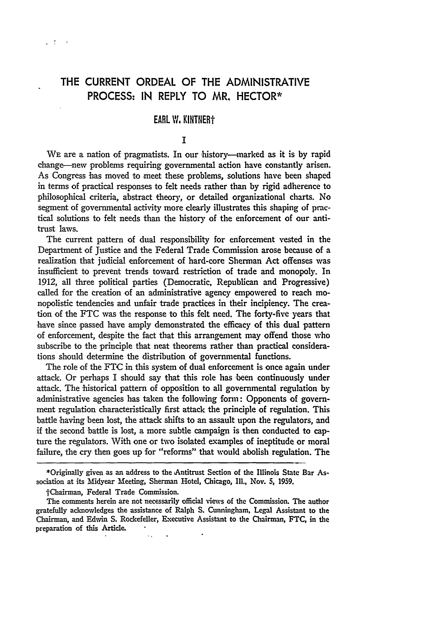# THE CURRENT ORDEAL OF THE ADMINISTRATIVE **PROCESS: IN** REPLY TO **MR.** HECTOR\*

 $\sim 10^{-11}$ 

### **EARL W. KINTNER**<sup>+</sup>

## **I**

WE are a nation of pragmatists. In our history---marked as it is by rapid change-new problems requiring governmental action have constantly arisen. As Congress has moved to meet these problems, solutions have been shaped in terms of practical responses to felt needs rather than by rigid adherence to philosophical criteria, abstract theory, or detailed organizational charts. No segment of governmental activity more clearly illustrates this shaping of practical solutions to felt needs than the history of the enforcement of our antitrust laws.

The current pattern of dual responsibility for enforcement vested in the Department of Justice and the Federal Trade Commission arose because of a realization that judicial enforcement of hard-core Sherman Act offenses was insufficient to prevent trends toward restriction of trade and monopoly. In 1912, all three political parties (Democratic, Republican and Progressive) called for the creation of an administrative agency empowered to reach monopolistic tendencies and unfair trade practices in their incipiency. The creation of the **FTC** was the response to this felt need. The forty-five years that -have since passed have amply demonstrated the efficacy of this dual pattern of enforcement, despite the fact that this arrangement may offend those who subscribe to the principle that neat theorems rather than practical considerations should determine the distribution of governmental functions.

The role of the FTC in this system of dual enforcement is once again under attack. Or perhaps I should say that this role has been continuously under attack. The historical pattern of opposition to all governmental regulation by administrative agencies has taken the following form: Opponents of government regulation characteristically first attack the principle of regulation. This battle having been lost, the attack shifts to an assault upon the regulators, and if the second battle is lost, a more subtle campaign is then conducted to capture the regulators. With one or two isolated examples of ineptitude or moral failure, the cry then goes up for "reforms" that would abolish regulation. The

<sup>\*</sup>Originally given as an address to the Antitrust Section of the Illinois State Bar Association at its Midyear Meeting, Sherman Hotel, Chicago, Ill., Nov. 5, **1959.**

tChairman, Federal Trade Commission.

The comments herein are not necessarily official views of the Commission. The author gratefully acknowledges the assistance of Ralph S. Cunningham, Legal Assistant to the Chairman, and Edwin **S.** Rockefeller, Executive Assistant to the Chairman, FTC, in the preparation of this Article. $\ddot{\phantom{a}}$  .  $\ddot{\phantom{a}}$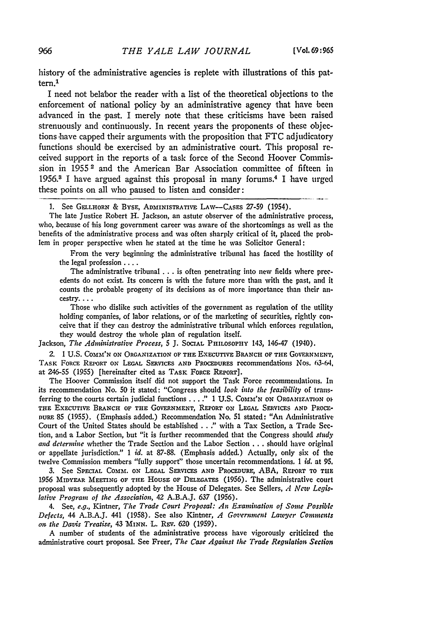history of the administrative agencies is replete with illustrations of this pat**tern.1**

I need not belabor the reader with a list of the theoretical objections to the enforcement of national policy by an administrative agency that have been advanced in the past. I merely note that these criticisms have been raised strenuously and continuously. In recent years the proponents of these objections have capped their arguments with the proposition that FTC adjudicatory functions should be exercised by an administrative court. This proposal received support in the reports of a task force of the Second Hoover Commission in 1955 **2** and the American Bar Association committee of fifteen in 1956.3 I have argued against this proposal in many forums.4 I have urged these points on all who paused to listen and consider:

**1.** See GELLHORN & BYsE, **ADMINIsTRATIVE** LAW-CASES 27-59 (1954).

The late Justice Robert H. Jackson, an astute observer of the administrative process, who, because of his long government career was aware of the shortcomings as well as the benefits of the administrative process and was often sharply critical of it, placed the problem in proper perspective when he stated at the time he was Solicitor General:

From the very beginning the administrative tribunal has faced the hostility of the legal profession **....**

The administrative tribunal **...** is often penetrating into new fields where precedents do not exist. Its concern is with the future more than with the past, and it counts the probable progeny of its decisions as of more importance than their ancestry...

Those who dislike such activities of the government as regulation of the utility holding companies, of labor relations, or of the marketing of securities, rightly conceive that if they can destroy the administrative tribunal which enforces regulation, they would destroy the whole plan of regulation itself.

Jackson, *The Administrative Process,* 5 J. **SOCIAL PHILOSOPHY** 143, 146-47 (1940).

2. **1** U.S. COMM'N **ON ORGANIZATION OF THE EXECUTIVE BRANCH OF THE** GoVERNMiENr, TASK **FORCE** REiORT ON **LEGAL** SERVICES **AND PROCEDURES** recommendations Nos. *63.64,* at 246-55 (1955) [hereinafter cited as TASK **FORCE** REPORT].

The Hoover Commission itself did not support the Task Force recommendations. In its recommendation No. **50** it stated: "Congress should *look into* the *feasibility* of tranlsferring to the courts certain judicial functions ... **." 1** U.S. COMII'N **ON** ORGANIZATION **0i, THE** EXECUTIVE **BRANCH OF THE GOVERNMENT,** REPORT **ON LEGAL** SERVICES **AND PROCE-DURE** 85 (1955). (Emphasis added.) Recommendation No. 51 stated: "An Administrative Court of the United States should be established **. .** ." with a Tax Section, a Trade **Sec**tion, and a Labor Section, but "it is further recommended that the Congress should *study and determine* whether the Trade Section and the Labor Section ... should have original or appellate jurisdiction." 1 *id.* at 87-88. (Emphasis added.) Actually, only six of the twelve 'Commission members "fully support" those uncertain recommendations. I *id.* **at** 95.

3. See **SPECIAL** COMm. ON **LEGAL** SERVICES **AND** PROCEDURE, ABA, **REPORT TO THE** 1956 **MIDYEAR MEETING OF** THE: Houss **OF** DELEGATES (1956). The administrative court proposal was subsequently adopted by the House of Delegates. See Sellers, *A New Legislative Program of the Association,* 42 A.B.A.J. *637* (1956).

4. See, *e.g.,* Kintner, The *Trade Court Proposal: An Examination of Some Possible Defects,* 44 A.B.A.J. 441 (1958). See also Kintner, *A Government Lawyer* Comments **on** the *Davis Treatise,* 43 **MINN.** L. REV. **620** (1959).

A number of students of the administrative process have vigorously criticized the administrative court proposal. See Freer, *The Case Against the Trade Regulation Section*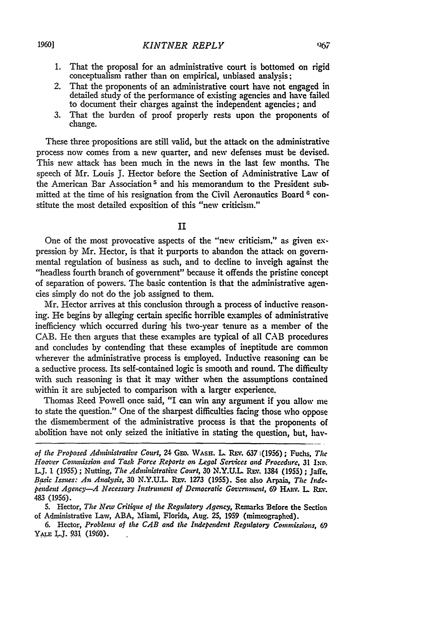- **1.** That the proposal for an administrative court is bottomed on rigid conceptualism rather than on empirical, unbiased analysis;
- 2. That the proponents of an administrative court have not engaged in detailed study of the performance of existing agencies and have failed to document their charges against the independent agencies; and
- 3. That the burden of proof properly rests upon the proponents of change.

These three propositions are still valid, but the attack on the administrative process now comes from a new quarter, and new defenses must be devised. This new attack has been much in the news in the last few months. The speech of Mr. Louis J. Hector before the Section of Administrative Law of the American Bar Association 5 and his memorandum to the President submitted at the time of his resignation from the Civil Aeronautics Board **0** constitute the most detailed exposition of this "new criticism."

II

One of the most provocative aspects of the "new criticism," as given expression by Mr. Hector, is that it purports to abandon the attack on governmental regulation of business as such, and to decline to inveigh against the "headless fourth branch of government" because it offends the pristine concept of separation of powers. The basic contention is that the administrative agencies simply do not do the job assigned to them.

Mr. Hector arrives at this conclusion through a process of inductive reasoning. He begins by alleging certain specific horrible examples of administrative inefficiency which occurred during his two-year tenure as a member of the CAB. He then argues that these examples are typical of all CAB procedures and concludes by contending that these examples of ineptitude are common wherever the administrative process is employed. Inductive reasoning can be a seductive process. Its self-contained logic is smooth and round. The difficulty with such reasoning is that it may wither when the assumptions contained within it are subjected to comparison with a larger experience.

Thomas Reed Powell once said, "I can win any argument if you allow me to state the question." One of the sharpest difficulties facing those who oppose the dismemberment of the administrative process is that the proponents of abolition have not only seized the initiative in stating the question, but, hav-

of the Proposed Administrative Court, 24 GEO. WASH. L. REV. 637 (1956); Fuchs, The *Hoover Comnission and Task Force Reports* **on** *Legal Services and Procedure,* 31 Ixo. L.J. 1 (1955) ; Nutting, The Administrative Court, 30 N.Y.U.L. REv. 1384 (1955) ; Jaffe, *Basic Isses: An Analysis,* **30 N.Y.U.L.** REv. **1273** (1955). See also Arpaia, *The Independent Agency-A Necessary Instrument of Democratic Government, 69 HARV. L. REV.* 483 (1956).

**<sup>5.</sup>** Hector, *The New Critique of the Regulatory* Agency, Remarks Before the Section of Administrative Law, ABA, Iiami, Florida, Aug. **25,** 1959 (mimeographed).

**<sup>6.</sup>** Hector, *Problems of the CAB and the Independent Regulatory Commissions, 69* YALE L.J. 931 (1960).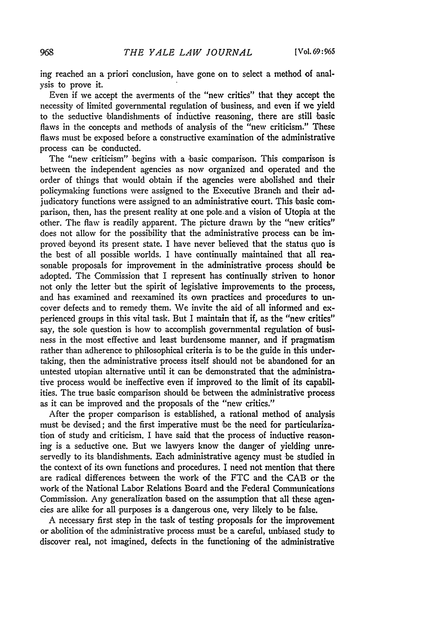ing reached an a priori conclusion, have gone on to select a method of analysis to prove it.

Even if we accept the averments of the "new critics" that they accept the necessity of limited governmental regulation of business, and even if we yield to the seductive blandishments of inductive reasoning, there are still basic flaws in the concepts and methods of analysis of the "new criticism." These flaws must be exposed before a constructive examination of the administrative process can be conducted.

The "new criticism" begins with a 'basic comparison. This comparison is between the independent agencies as now organized and operated and the order of things that would obtain if the agencies were abolished and their policymaking functions were assigned to the Executive Branch and their adjudicatory functions were assigned to an administrative court. This basic comparison, then, has the present reality at one pole.and a vision of Utopia at the other. The flaw is readily apparent. The picture drawn by the "new critics" does not allow for the possibility that the administrative process can be improved 'beyond its present state. I have never believed that the status quo is the best of all possible worlds. I have continually maintained that all reasonable proposals for improvement in the administrative process should be adopted. The Commission that I represent has continually striven to honor not only the letter but the spirit of legislative improvements to the process, and has examined and reexamined its own practices and procedures to uncover defects and to remedy them. We invite the aid of all informed and experienced groups in this vital task. But I maintain that if, as the "new critics" say, the sole question is how to accomplish governmental regulation of business in the most effective and least burdensome manner, and if pragmatism rather than adherence to philosophical criteria is to be the guide in this undertaking, then the administrative process itself should not 'be abandoned for an untested utopian alternative until it can be demonstrated that the administrative process would 'be ineffective even if improved to the limit of its capabilities. The true basic comparison should be 'between the administrative process as it can be improved and the proposals of the "new critics."

After the proper comparison is established, a rational method of analysis must 'be devised; and the first imperative must be the need for particularization of study and criticism. I have said that the process of inductive reasoning is a seductive one. But we lawyers know the danger of yielding unreservedly to its blandishments. Each administrative agency must be studied in the context of its own functions and procedures. I need not mention that there are radical differences between the work of the FTC and the 'CAB or the work of the National Labor Relations Board and the Federal Communications Commission. Any generalization based on the assumption that all these agencies are alike for all purposes is a dangerous one, very likely to be false.

A necessary first step in the task of testing proposals for the improvement or abolition of the administrative process must be a careful, unbiased study to discover real, not imagined, defects in the functioning of the administrative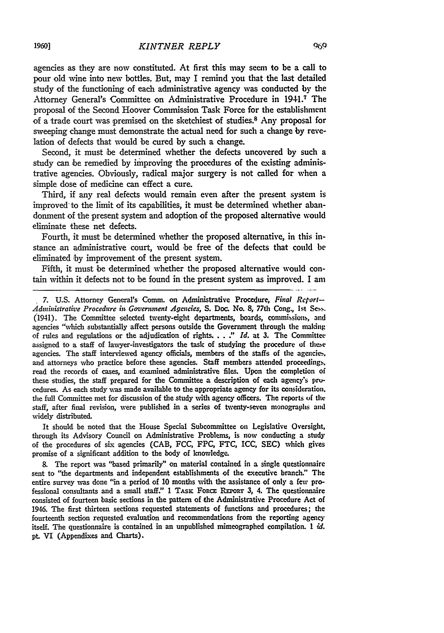agencies as they are now constituted. At first this may seem to be a call to pour old wine into new bottles. But, may I remind you that the last detailed study of the functioning of each administrative agency was conducted **by** the Attorney General's Committee on Administrative Procedure in 1941.<sup>7</sup> The proposal of the Second Hoover Commission Task Force for the establishment of a trade court was premised on the sketchiest of studies.8 Any proposal for sweeping change must demonstrate the actual need for such a change **by** revelation of defects that would be cured **by** such a change.

Second, it must be determined whether the defects uncovered **by** such a study can be remedied **by** improving the procedures of the existing administrative agencies. Obviously, radical major surgery is not called for when a simple dose of medicine can effect a cure.

Third, if any real defects would remain even after the present system is improved to the limit of its capabilities, it must be determined whether abandonment of the present system and adoption of the proposed alternative would eliminate these net defects.

Fourth, it must be determined whether the proposed alternative, in this instance an administrative court, would **be** free of the defects that could be eliminated **by** improvement of the present system.

Fifth, it must be determined whether the proposed alternative would contain within it defects not to be found in the present system as improved. I am

It should be noted that the House Special Subcommittee **on** Legislative Oversight, through its Advisory Council on Administrative Problems, is now conducting a study of the procedures of six agencies (CAB, FCC, FPC, FTC, ICC, SEC) which gives promise of a significant addition to the body of knowledge.

**&** The report was "based primarily" on material contained in a single questionnaire sent to "the departments and independent establishments of the executive branch." The entire survey was done "in a period of **10** months with the assistance of only a few professional consultants and a small staff." 1 TASK FORCE REPORT 3, 4. The questionnaire consisted of fourteen basic sections in the pattem of the Administrative Procedure Act of 1946. The first thirteen sections requested statements of functions and procedures; the fourteenth section requested evaluation and recommendations from the reporting agency itself. The questionnaire is contained in an unpublished mimeographed compilation. **I** *id.* pt. VI (Appendixes and Charts).

<sup>7.</sup> U.S. Attorney General's Comm. on Administrative Procedure, *Final Report-Admninistrative Procedure in Government Agendes, S.* Doc. No. **8,** 77th Cong., **Is Sees.** (1941). The Committee selected twenty-eight departments, boards, commissions, and agencies "which substantially affect persons outside the Government through **the** making of rules and regulations or the adjudication of rights... **\*"** *Id.* at **3.** The Committee assigned to a staff of lawyer-investigators the task of studying the procedure **of** these agencies. The staff interviewed agency officials, members of the staffs of the agencie-, and attorneys who practice before these agencies. Staff members attended proceedings, read the records of cases, and examined administrative files. Upon the completion of these studies, the staff prepared for the Committee a description of each agency's procedures. As each study was made available **to** the appropriate agency for its consideration. the full Committee met for discussion of the study with agency officers. The reports **of** thc staff, after final revision, were published in a series of twenty-seven monographs and widely distributed.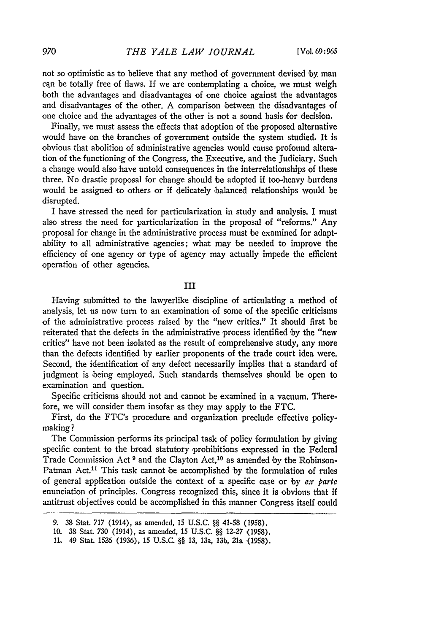not so optimistic as to believe that any method of government devised 'by. man can be totally free of flaws. If we are contemplating a choice, we must weigh both the advantages and disadvantages of one choice against the advantages and disadvantages of the other. **A** comparison between the disadvantages of one choice and the advantages of the other is not a sound basis for decision.

Finally, we must assess the effects that adoption of the proposed alternative would have on the branches of government outside the system studied. It is obvious that abolition of administrative agencies would cause profound alteration of the functioning of the Congress, the Executive, and the judiciary. Such a change would also have untold consequences in the interrelationships of these three. No drastic proposal for change should be adopted if too-heavy burdens would be assigned to others or if delicately balanced relationships would be disrupted.

I have stressed the need for particularization in study and analysis. I must also stress the need for particularization in the proposal of "reforms." Any proposal for change in the administrative process must be examined for adaptability to all administrative agencies; what may be needed to improve the efficiency of one agency or type of agency may actually impede the efficient operation of other agencies.

#### III

Having submitted to the lawyerlike discipline of articulating a method of analysis, let us now turn to an examination of some of the specific criticisms of the administrative process raised **by** the "new critics." It should first **be** reiterated that the defects in the administrative process identified by the "new critics" have not been isolated as the result of comprehensive study, any more than the defects identified **by** earlier proponents of the trade court idea were. Second, the identification of any defect necessarily implies that a standard of judgment is being employed. Such standards themselves should be open to examination and question.

Specific criticisms should not and cannot be examined in a vacuum. Therefore, we will consider them insofar as they may apply to the **FTC.**

First, do the FTC's procedure and organization preclude effective policymaking?

The Commission performs its principal task of policy formulation **by** giving specific content to the broad statutory prohibitions expressed in the Federal Trade Commission Act<sup>9</sup> and the Clayton Act,<sup>10</sup> as amended by the Robinson-Patman Act.<sup>11</sup> This task cannot be accomplished by the formulation of rules of general application outside the context of a specific case or **by** *ex* partc enunciation of principles. Congress recognized this, since it is obvious that if antitrust objectives could be accomplished in this manner Congress itself could

*<sup>9.</sup>* **38** Stat. **717** (1914), as amended, **15 U.S.C.** §§ 41-58 **(1958).**

**<sup>10. 38</sup>** Stat. **730** (1914), as amended, 15 **U.S.C.** §§ **12-27 (1958).**

**<sup>1</sup>M** 49 Stat. **1526 (1936), 15 U.S.C. §§ 13,** 13a, **13b, 21a (1958).**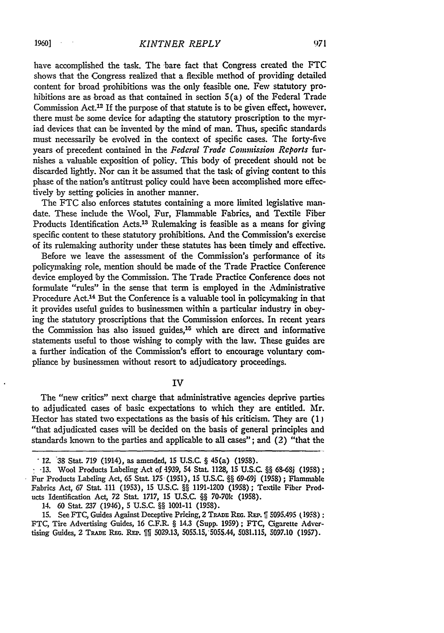have accomplished the task. The bare fact that Congress created the **FTC** shows that the Congress realized that a flexible method of providing detailed content for broad prohibitions was the only feasible one. Few statutory prohibitions are as broad as that contained in section 5(a) of the Federal Trade Commission Act.<sup>12</sup> If the purpose of that statute is to be given effect, however, there must be some device for adapting the statutory proscription to the myriad devices that can be invented by the mind of man. Thus, specific standards must necessarily be evolved in the context of specific cases. The forty-five years of precedent contained in the *Fedcral Trade Commission Rcports* furnishes a valuable exposition of policy. This body of precedent should not be discarded lightly. Nor can it be assumed that the task of giving content to this phase of the nation's antitrust policy could have been accomplished more effectively by setting policies in another manner.

The FTC also enforces statutes containing a more limited legislative mandate. These include the Wool, Fur, Flammable Fabrics, and Textile Fiber Products Identification Acts.<sup>13</sup> Rulemaking is feasible as a means for giving specific content to these statutory prohibitions. And the Commission's exercise of its rulemaling authority under these statutes has been timely and effective.

Before we leave the assessment of the Commission's performance of its policymaking role, mention should the made of the Trade Practice Conference device employed **by** the Commission. The Trade Practice Conference does not formulate "rules" in the sense that term is employed in the Administrative Procedure Act.<sup>14</sup> But the Conference is a valuable tool in policymaking in that it provides useful guides to businessmen within a particular industry in obeying the statutory proscriptions that the Commission enforces. In recent years the Commission has also issued guides, $15$  which are direct and informative statements useful to those wishing to comply with the law. These guides are a further indication of the Commission's effort to encourage voluntary compliance by businessmen without resort to adjudicatory proceedings.

### IV

The "new critics" next charge that administrative agencies deprive parties to adjudicated cases of basic expectations to which they are entitled. Mr. Hector has stated two expectations as the basis of his criticism. They are **(1)** "that adjudicated cases will be decided on the basis of general principles and standards known to the parties and applicable to all cases"; and (2) "that the

14. 60 Stat. **237** (1946), **5** U.S.C. §§ 1001-11 (1958).

15. See FTC, Guides Against Deceptive Pricing, 2 TRADE REG. REP. **f** 5095.495 (1958): FTC, Tire Advertising Guides, 16 C.F.R. § 14.3 (Supp. 1959) ; FTC, Cigarette Advertising Guides, 2 TRADE- REG. REP. 1 5029.13, 5055.15, 5055.44, 5081.115, 5097.10 (1957).

<sup>12.</sup> **-38** Stat. 719 (1914), as amended, **15 U.S.C.** § 45(a) **(1958).**

**<sup>-13.</sup>** Wool Products Labeling Act of 4939, 54 Stat. 1128, **15 U.S.C.** §§ 6-68j **(1958);** Fur Products Labeling Act, **65** Stat. **175** (1951), **15 U.S.C. §§** 69-69j **(1958)** ; Flammable Fabrics Act, 67 Stat. **ll** (1953), **15** U.S.C. §§ 1191-1200 (1958); Textile Fiber Products Identification Act, **72** Stat. 1717, **15** U.S.C. §§ 70-70k (1958).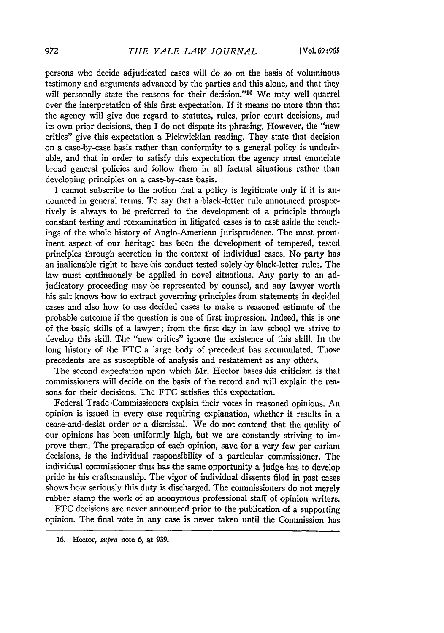persons who decide adjudicated cases will do so on the basis of voluminous testimony and arguments advanced by the parties and this alone, and that they will personally state the reasons for their decision."<sup>16</sup> We may well quarrel over the interpretation of this first expectation. If it means no more than that the agency will give due regard to statutes, rules, prior court decisions, and its own prior decisions, then I do not dispute its phrasing. However, the "new critics" give this expectation a Pickwickian reading. They state that decision on a case-by-case basis rather than conformity to a general policy is undesirable, and that in order to satisfy this expectation the agency must enunciate broad general policies and follow them in all factual situations rather than developing principles on a case-by-case basis.

I cannot subscribe to the notion that a policy is legitimate only if it is announced in general terms. To say that a black-letter rule announced prospectively is always to be preferred to the development of a principle through constant testing and reexamination in litigated cases is to cast aside the teachings of the whole history of Anglo-American jurisprudence. The most prominent aspect of our heritage has 'been the development of tempered, tested principles through accretion in the context of individual cases. No party has an inalienable right to have his conduct tested solely by black-letter rules. The law must continuously be applied in novel situations. Any party to an adjudicatory proceeding may be represented by counsel, and any lawyer worth his salt knows how to extract governing principles from statements in decided cases and also 'how to use decided cases to make a reasoned estimate of the probable outcome if the question is one of first impression. Indeed, this is one of the basic skills of a lawyer; from the first day in law school we strive to develop this skill. The "new critics" ignore the existence of this skill. In the long history of the FTC a large body of precedent has accumulated. Those precedents are as susceptible of analysis and restatement as any others.

The second expectation upon which Mr. Hector bases his criticism is that commissioners will decide on the basis of the record and will explain the reasons for their decisions. The FTC satisfies this expectation.

Federal Trade 'Commissioners explain their votes in reasoned opinions. An opinion is issued in every case requiring explanation, whether it results in a cease-and-desist order or a dismissal. We do not contend that the quality of our opinions has been uniformly high, but we are constantly striving to improve them. The preparation of each opinion, save for a very few per curiam decisions, is the individual responsibility of a particular commissioner. The individual commissioner thus has the same opportunity a judge has to develop pride in 'his craftsmanship. The vigor of individual dissents filed in past cases shows how seriously this duty is discharged. The commissioners do not merely rubber stamp the work of an anonymous professional staff of opinion writers.

**FTC** decisions are never announced prior to the publication of a supporting opinion. The final vote in any case is never taken until the Commission has

**<sup>16.</sup>** Hector, *supra* note **6,** at **939.**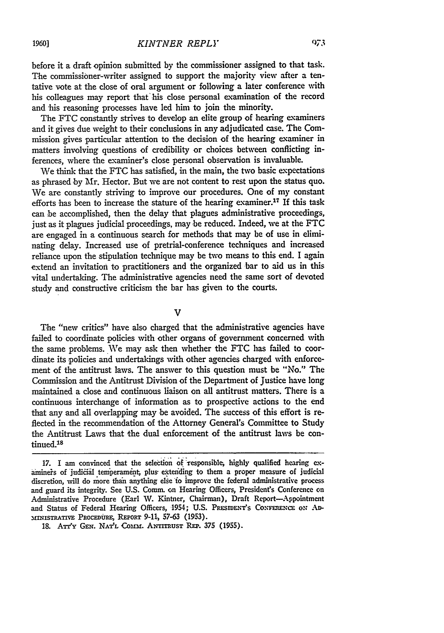before it a draft opinion submitted by the commissioner assigned to that task. The commissioner-writer assigned to support the majority view after a tentative vote at the close of oral argument or following a later conference with his colleagues may report that' his close personal examination of the record and his reasoning processes have led him to join the minority.

The FTC constantly strives to develop an elite group of hearing examiners and it gives due weight to their conclusions in any adjudicated case. The Commission gives particular attention to the decision of the hearing examiner in matters involving questions of credibility or choices between conflicting inferences, where the examiner's close personal observation is invaluable.

We think that the FTC has satisfied, in the main, the two basic expectations as phrased by Mr. Hector. But we are not content to rest upon the status quo. We are constantly striving to improve our procedures. One of my constant efforts 'has been to increase the stature of the hearing examiner. <sup>17</sup>**If** this task can be accomplished, then the delay that plagues administrative proceedings, just as it plagues judicial proceedings, may be reduced. Indeed, we at the FTC are engaged in a continuous search for methods that may be of use in eliminating delay. Increased use of pretrial-conference techniques and increased reliance upon the stipulation technique may be two means to this end. I again extend an invitation to practitioners and the organized bar to aid us in this vital undertaking. The administrative agencies need the same sort of devoted study and constructive criticism the bar has given to the courts.

V

The "new critics" have also charged that the administrative agencies have failed to coordinate policies with other organs of government concerned with the same problems. We may ask then whether the FTC has failed to coordinate its policies and undertakings with other agencies charged with enforcement of the antitrust laws. The answer to this question must be "No." The Commission and the Antitrust Division of the Department of Justice have long maintained a close and continuous liaison on all antitrust matters. There is a continuous interchange of information as to prospective actions to the end that any and all overlapping may be avoided. The success of this effort is reflected in the recommendation of the Attorney General's Committee to Study the Antitrust Laws that the dual enforcement of the antitrust laws be continued.<sup>18</sup>

**<sup>17.</sup>** I am convinced that the selection ot responsible, **highly** qualified hearing examiners of judicial temperament, plus extending to them a proper measure of judicial discretion, will do more than anything else *io* improve the federal administrative process and guard its integrity. See **U.S.** Comm. on Hearing Officers, President's Conference on Administrative Procedure (Earl **W,.** Kintner, Chairman), Draft Report-Appointment and Status of Federal Hearing Officers, 1954; U.S. PRESIDENT'S CONFERENCE ON AD-XlmssRA=nv PRocm)bnz, REPORT **9-11, 57-63** (1953).

<sup>18.</sup> ATTY GEN. NAT'L COMM. ANTITRUST REP. 375 (1955).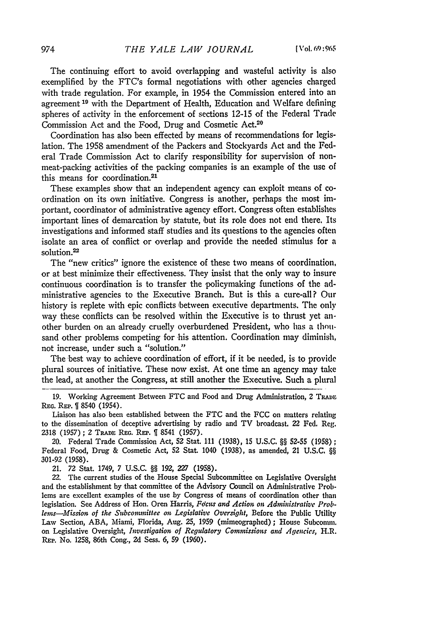The continuing effort to avoid overlapping and wasteful activity is also exemplified by the FTC's formal negotiations with other agencies charged with trade regulation. For example, in 1954 the Commission entered into an agreement **19** with the Department of Health, Education and Welfare defining spheres of activity in the enforcement of sections 12-15 of the Federal Trade Commission Act and the Food, Drug and Cosmetic Act.20

Coordination has also been effected by means of recommendations for legislation. The 1958 amendment of the Packers and Stockyards Act and the Federal Trade Commission Act to clarify responsibility for supervision of nonmeat-packing activities of the packing companies is an example of the use of this means for coordination.<sup>21</sup>

These examples show that an independent agency can exploit means of coordination on its own initiative. Congress is another, perhaps the most important, coordinator of administrative agency effort. Congress often establishes important lines of demarcation by statute, but its role does not end there, Its investigations and informed staff studies and its questions to the agencies often isolate an area of conflict or overlap and provide the needed stimulus for a solution.<sup>22</sup>

The "new critics" ignore the existence of these two means of coordination, or at best minimize their effectiveness. They insist that the only way to insure continuous coordination is to transfer the policymaking functions of the administrative agencies to the Executive Branch. But is this a cure-all? Our history is replete with epic conflicts between executive departments. The only way these conflicts can 'be resolved within the Executive is to thrust yet another burden on an already cruelly overburdened President, who has a thousand other problems competing for his attention. Coordination may diminish, not increase, under such a "solution."

The best way to achieve coordination of effort, if it be needed, is to provide plural sources of initiative. These now exist. At one time an agency may take the lead, at another the Congress, at still another the Executive. Such a plural

Liaison has also been established between the FTC and the FCC on matters relating to the dissemination of deceptive advertising by radio and TV broadcast. 22 Fed. Reg. 2318 (1957); 2 TRADE REG. REP. **[8541 (1957)**.

20. Federal Trade Commission Act, 52 Stat. 111 (1938), 15 U.S.C. §§ 52-55 (1958); Federal Food, Drug & Cosmetic Act, 52 Stat. 1040 (1938), as amended, 21 U.S.C. §§ 301-92 (1958).

21. 72 Stat. 1749, 7 U.S.C. §§ 192, **227** (1958).

*22.* The current studies of the House Special Subcommittee on Legislative Oversight and the establishment by that committee of the Advisory Council on Administrative Problems are excellent examples of the use by Congress of means of coordination other than legislation. See Address of Hon. Oren Harris, Focus and Action on Administrative Problems-Mission of the Subcommittee on Legislative Oversight, Before the Public Utility Law Section, ABA, Miami, Florida, Aug. **25,** 1959 (mimeographed); House Subconun. on Legislative Oversight, *Investigation of Regulatory Commissions and Agencies,* H.R. **REP.** No. 1258, 86th Cong., **2d** Sess. 6, 59 (1960).

<sup>19.</sup> Working Agreement Between FTC and Food and Drug Administration, 2 TRADE REG. REP. **[**8540 (1954).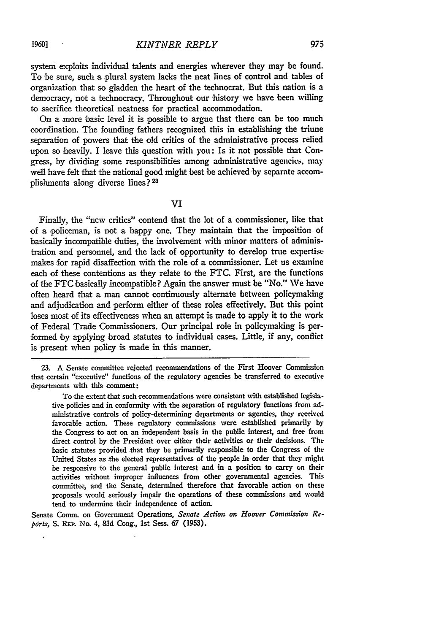system exploits individual talents and energies wherever they may be found. To be sure, such a plural system lacks the neat lines of control and tables of organization that so gladden the heart of the technocrat. But this nation is a democracy, not a technocracy. Throughout our history we have been wiling to sacrifice theoretical neatness for practical accommodation.

On a more basic level it is possible to argue that there can be too much coordination. The founding fathers recognized this in establishing the triune separation of powers that the old critics of the administrative process relied upon so heavily. I leave this question with you: Is it not possible that Congress, **by** dividing some responsibilities among administrative agencies, may well have felt that the national good might best be achieved by separate accomplishments along diverse lines?<sup>23</sup>

#### VI

Finally, the "new critics" contend that the lot of a commissioner, like that of a policeman, is not a happy one. They maintain that the imposition of basically incompatible duties, the involvement with minor matters of administration and personnel, and the lack of opportunity to develop true expertise makes for rapid disaffection with the role of a commissioner. Let us examine each of these contentions as they relate to the FTC. First, are the functions of the FTC basically incompatible? Again the answer must be "No." We have often heard that a man cannot continuously alternate between policynaking and adjudication and perform either of these roles effectively. But this point loses most of its effectiveness when an attempt is made to apply it to the work of Federal Trade Commissioners. Our principal role in policymaking is performed **by** applying broad statutes to individual cases. Little, if any, conflict is present when policy is made in this manner.

Senate Comm. on Government Operations, *Senate Action on Hoover Commission Re*pdrts, S. REP. No. 4, *83d* Cong., 1st Sess. *67* **(1953).**

*<sup>23.</sup>* **A** Senate committee rejected recommendations of the First Hoover Commission that certain "executive" functions of the regulatory agencies be transferred to executive departments with this comment:

To the extent that such recommendations were consistent with established legislative policies and in conformity with the separation of regulatory functions from administrative controls of policy-determining departments or agencies, they received favorable action. These regulatory commissions were established primarily **by** the Congress to act on an independent basis in the public interest, and free from direct control **by** the President over either their activities or their decisions. The basic statutes provided that they be primarily responsible to the Congress of the United States as the elected representatives of the people in order that they might be responsive to the general public interest and in a position to carry on their activities without improper influences from other governmental agencies. This committee, and the Senate, determined therefore that favorable action on these proposals would seriously impair the operations of these commissions and would tend to undermine their independence of action.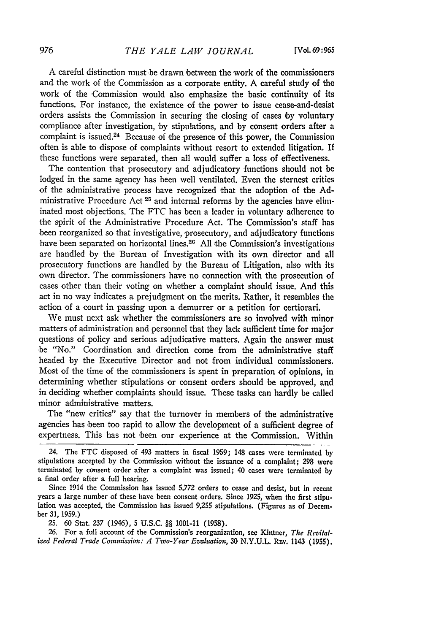A careful distinction must be drawn between the work of the commissioners and the work of the Commission as a corporate entity. A careful study of the work of the Commission would also emphasize the basic continuity of its functions. For instance, the existence of the power to issue cease-and-desist orders assists the Commission in securing the closing of cases **'by** voluntary compliance after investigation, **by** stipulations, and *'by* consent orders after a complaint is issued. $24$  Because of the presence of this power, the Commission often is able to dispose of complaints without resort to extended litigation. If these functions were separated, then all would suffer a loss of effectiveness.

The contention that prosecutory and adjudicatory functions should not be lodged in the same agency has been well ventilated. Even the sternest critics of the administrative process have recognized that the adoption of the Administrative Procedure Act **25** and internal reforms **by** the agencies have eliminated most objections. The FTC has been a leader in voluntary adherence to the spirit of the Administrative Procedure Act. The Commission's staff has been reorganized so that investigative, prosecutory, and adjudicatory functions have been separated on horizontal lines.<sup>26</sup> All the Commission's investigations are handled **by** the Bureau of Investigation with its own director and all prosecutory functions are handled **by** the Bureau of Litigation, also with its own director. The commissioners have no connection with the prosecution of cases other than their voting on whether a complaint should issue. And this act in no way indicates a prejudgment on the merits. Rather, it resembles the action of a court in passing upon a demurrer or a petition for certiorari.

We must next ask whether the commissioners are so involved with minor matters of administration and personnel that they lack sufficient time for major questions of policy and serious adjudicative matters. Again the answer must 'be "No." Coordination and direction come from the administrative staff headed **by** the Executive Director and not from individual commissioners. Most of the time of the commissioners is spent in preparation of opinions, in determining whether stipulations or consent orders should be approved, and in deciding whether complaints should issue. These tasks can hardly be **called** minor administrative matters.

The "new critics" say that the turnover in members of the administrative agencies has been too rapid to allow the development of a sufficient degree of expertness. This has not been our experience at the Commission. Within

24. The FTC disposed of 493 matters in fiscal **1959;** 148 cases were terminated **by** stipulations accepted **by** the Commission without the issuance of a complaint; **298** were terminated **by** consent order after a complaint was issued; 40 cases were terminated **by** a final order after a full hearing.

Since 1914 the Commission has issued **5,772** orders to cease and desist, but in recent years a large number of these have been consent orders. Since **1925,** when the first stipulation was accepted, the Commission has issued **9,255** stipulations. (Figures as of December 31, 1959.)

**25.** 60 Stat. **237** (1946), 5 U.S.C. §§ 1001-11 (1958).

26. For a full account of the Commission's reorganization, see Kintner, *The Revitalized Federal Trade Commission: A Two-Year Evaluation, 30 N.Y.U.L. REv. 1143 (1955).*